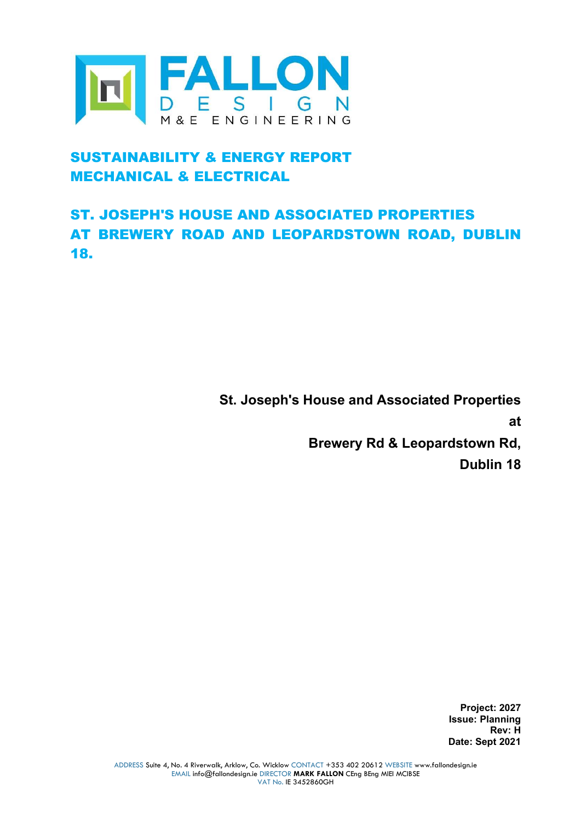

# SUSTAINABILITY & ENERGY REPORT MECHANICAL & ELECTRICAL

# ST. JOSEPH'S HOUSE AND ASSOCIATED PROPERTIES AT BREWERY ROAD AND LEOPARDSTOWN ROAD, DUBLIN 18.

St. Joseph's House and Associated Properties

at

Brewery Rd & Leopardstown Rd,

Dublin 18

Project: 2027 Issue: Planning Rev: H Date: Sept 2021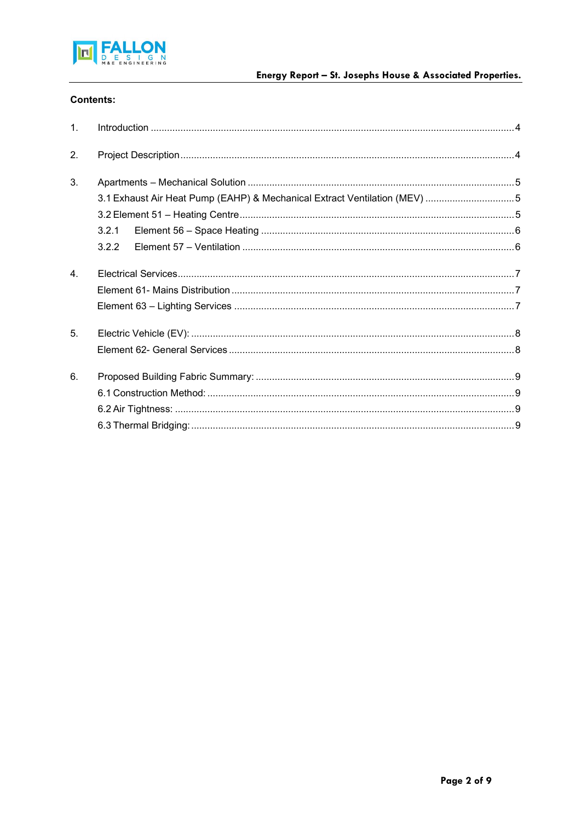

## **Contents:**

| $\mathbf{1}$ . |                                                                           |  |
|----------------|---------------------------------------------------------------------------|--|
| 2.             |                                                                           |  |
| 3.             |                                                                           |  |
|                | 3.1 Exhaust Air Heat Pump (EAHP) & Mechanical Extract Ventilation (MEV) 5 |  |
|                |                                                                           |  |
|                | 3.2.1                                                                     |  |
|                | 3.2.2                                                                     |  |
| $\overline{4}$ |                                                                           |  |
|                |                                                                           |  |
|                |                                                                           |  |
| 5.             |                                                                           |  |
|                |                                                                           |  |
| 6.             |                                                                           |  |
|                |                                                                           |  |
|                |                                                                           |  |
|                |                                                                           |  |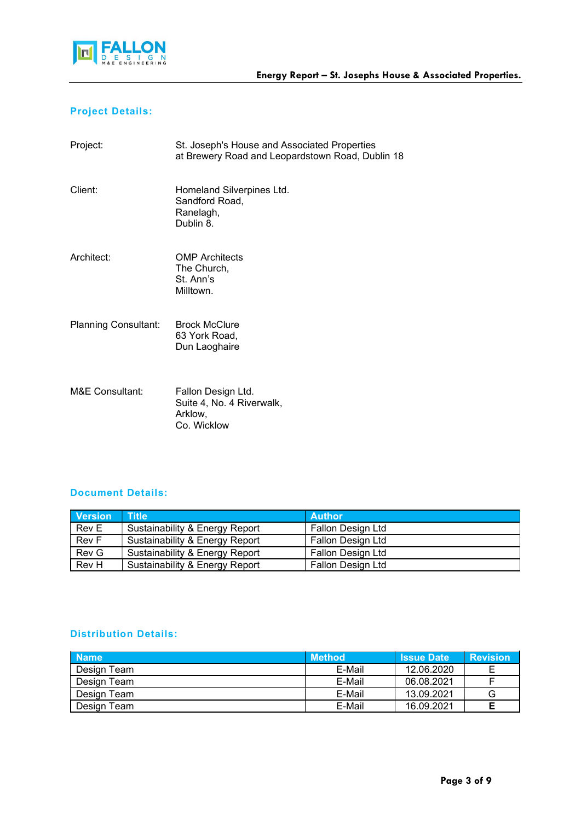

## Project Details:

| Project:                   | St. Joseph's House and Associated Properties<br>at Brewery Road and Leopardstown Road, Dublin 18 |
|----------------------------|--------------------------------------------------------------------------------------------------|
| Client:                    | Homeland Silverpines Ltd.<br>Sandford Road,<br>Ranelagh,<br>Dublin 8.                            |
| Architect:                 | <b>OMP</b> Architects<br>The Church,<br>St. Ann's<br>Milltown.                                   |
| Planning Consultant:       | <b>Brock McClure</b><br>63 York Road,<br>Dun Laoghaire                                           |
| <b>M&amp;E Consultant:</b> | Fallon Design Ltd.<br>Suite 4, No. 4 Riverwalk,<br>Arklow,                                       |

## Document Details:

**Co.** Wicklow

| <b>Version</b> | $\mathsf{I}$ Title $\mathsf{I}$ | <b>Author</b>     |
|----------------|---------------------------------|-------------------|
| Rev E          | Sustainability & Energy Report  | Fallon Design Ltd |
| Rev F          | Sustainability & Energy Report  | Fallon Design Ltd |
| Rev G          | Sustainability & Energy Report  | Fallon Design Ltd |
| Rev H          | Sustainability & Energy Report  | Fallon Design Ltd |

## Distribution Details:

| <b>Name</b> | <b>Method</b> | <b>Issue Date</b> | <b>Revision</b> |
|-------------|---------------|-------------------|-----------------|
| Design Team | E-Mail        | 12.06.2020        |                 |
| Design Team | E-Mail        | 06.08.2021        |                 |
| Design Team | E-Mail        | 13.09.2021        | G               |
| Design Team | E-Mail        | 16.09.2021        |                 |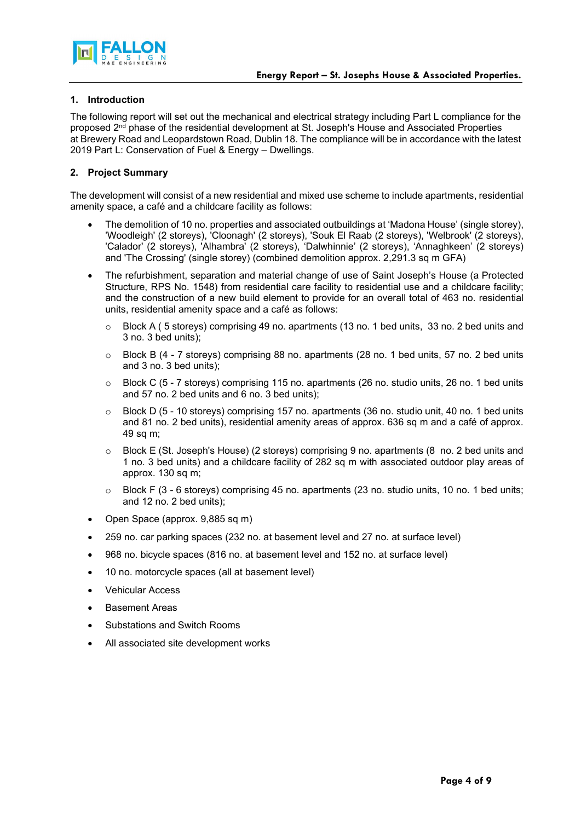



## 1. Introduction

The following report will set out the mechanical and electrical strategy including Part L compliance for the proposed 2nd phase of the residential development at St. Joseph's House and Associated Properties at Brewery Road and Leopardstown Road, Dublin 18. The compliance will be in accordance with the latest 2019 Part L: Conservation of Fuel & Energy – Dwellings.

## 2. Project Summary

The development will consist of a new residential and mixed use scheme to include apartments, residential amenity space, a café and a childcare facility as follows:

- The demolition of 10 no. properties and associated outbuildings at 'Madona House' (single storey), 'Woodleigh' (2 storeys), 'Cloonagh' (2 storeys), 'Souk El Raab (2 storeys), 'Welbrook' (2 storeys), 'Calador' (2 storeys), 'Alhambra' (2 storeys), 'Dalwhinnie' (2 storeys), 'Annaghkeen' (2 storeys) and 'The Crossing' (single storey) (combined demolition approx. 2,291.3 sq m GFA)
- The refurbishment, separation and material change of use of Saint Joseph's House (a Protected Structure, RPS No. 1548) from residential care facility to residential use and a childcare facility; and the construction of a new build element to provide for an overall total of 463 no. residential units, residential amenity space and a café as follows:
	- $\circ$  Block A (5 storeys) comprising 49 no. apartments (13 no. 1 bed units, 33 no. 2 bed units and 3 no. 3 bed units);
	- o Block B (4 7 storeys) comprising 88 no. apartments (28 no. 1 bed units, 57 no. 2 bed units and 3 no. 3 bed units);
	- $\circ$  Block C (5 7 storevs) comprising 115 no. apartments (26 no, studio units, 26 no. 1 bed units and 57 no. 2 bed units and 6 no. 3 bed units);
	- o Block D (5 10 storeys) comprising 157 no. apartments (36 no. studio unit, 40 no. 1 bed units and 81 no. 2 bed units), residential amenity areas of approx. 636 sq m and a café of approx. 49 sq m;
	- o Block E (St. Joseph's House) (2 storeys) comprising 9 no. apartments (8 no. 2 bed units and 1 no. 3 bed units) and a childcare facility of 282 sq m with associated outdoor play areas of approx. 130 sq m;
	- $\circ$  Block F (3 6 storeys) comprising 45 no. apartments (23 no. studio units, 10 no. 1 bed units; and 12 no. 2 bed units);
- Open Space (approx. 9,885 sq m)
- 259 no. car parking spaces (232 no. at basement level and 27 no. at surface level)
- 968 no. bicycle spaces (816 no. at basement level and 152 no. at surface level)
- 10 no. motorcycle spaces (all at basement level)
- Vehicular Access
- Basement Areas
- Substations and Switch Rooms
- All associated site development works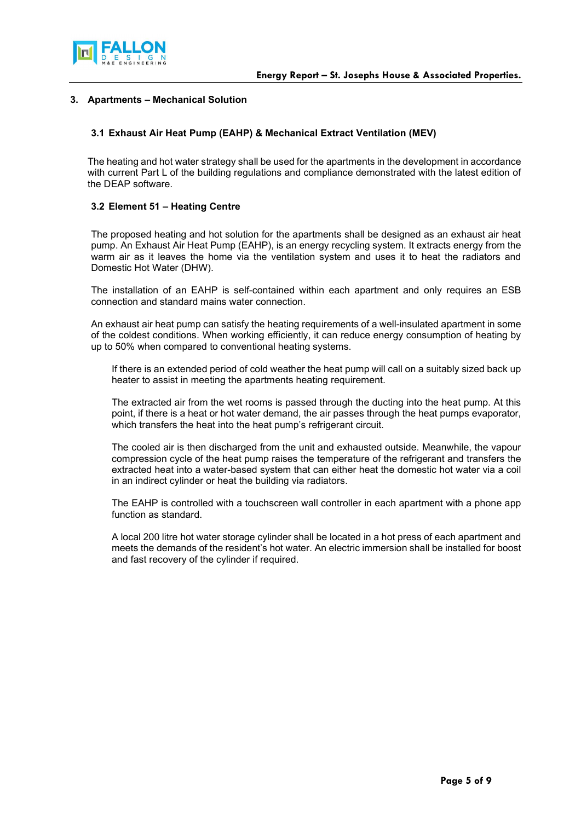



#### 3. Apartments – Mechanical Solution

### 3.1 Exhaust Air Heat Pump (EAHP) & Mechanical Extract Ventilation (MEV)

The heating and hot water strategy shall be used for the apartments in the development in accordance with current Part L of the building regulations and compliance demonstrated with the latest edition of the DEAP software.

#### 3.2 Element 51 – Heating Centre

The proposed heating and hot solution for the apartments shall be designed as an exhaust air heat pump. An Exhaust Air Heat Pump (EAHP), is an energy recycling system. It extracts energy from the warm air as it leaves the home via the ventilation system and uses it to heat the radiators and Domestic Hot Water (DHW).

The installation of an EAHP is self-contained within each apartment and only requires an ESB connection and standard mains water connection.

An exhaust air heat pump can satisfy the heating requirements of a well-insulated apartment in some of the coldest conditions. When working efficiently, it can reduce energy consumption of heating by up to 50% when compared to conventional heating systems.

If there is an extended period of cold weather the heat pump will call on a suitably sized back up heater to assist in meeting the apartments heating requirement.

The extracted air from the wet rooms is passed through the ducting into the heat pump. At this point, if there is a heat or hot water demand, the air passes through the heat pumps evaporator, which transfers the heat into the heat pump's refrigerant circuit.

The cooled air is then discharged from the unit and exhausted outside. Meanwhile, the vapour compression cycle of the heat pump raises the temperature of the refrigerant and transfers the extracted heat into a water-based system that can either heat the domestic hot water via a coil in an indirect cylinder or heat the building via radiators.

The EAHP is controlled with a touchscreen wall controller in each apartment with a phone app function as standard.

A local 200 litre hot water storage cylinder shall be located in a hot press of each apartment and meets the demands of the resident's hot water. An electric immersion shall be installed for boost and fast recovery of the cylinder if required.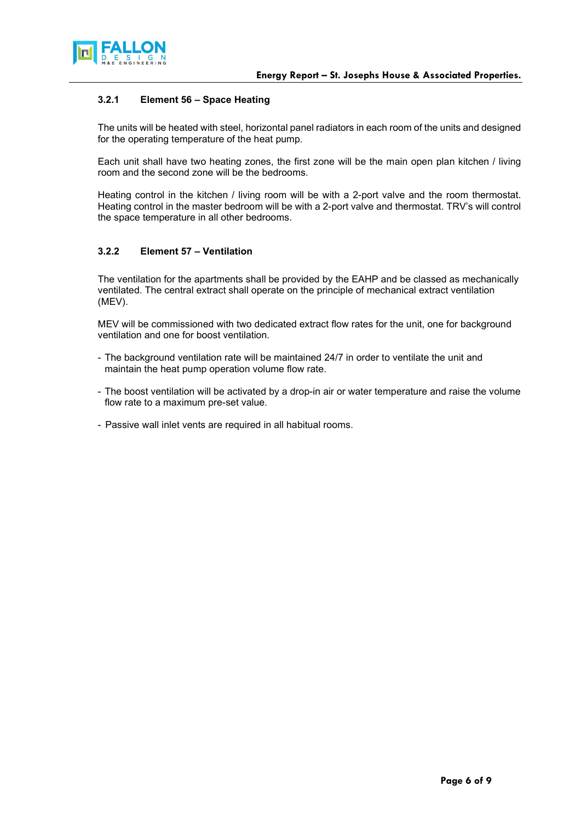

#### 3.2.1 Element 56 – Space Heating

The units will be heated with steel, horizontal panel radiators in each room of the units and designed for the operating temperature of the heat pump.

Each unit shall have two heating zones, the first zone will be the main open plan kitchen / living room and the second zone will be the bedrooms.

Heating control in the kitchen / living room will be with a 2-port valve and the room thermostat. Heating control in the master bedroom will be with a 2-port valve and thermostat. TRV's will control the space temperature in all other bedrooms.

## 3.2.2 Element 57 – Ventilation

The ventilation for the apartments shall be provided by the EAHP and be classed as mechanically ventilated. The central extract shall operate on the principle of mechanical extract ventilation (MEV).

MEV will be commissioned with two dedicated extract flow rates for the unit, one for background ventilation and one for boost ventilation.

- The background ventilation rate will be maintained 24/7 in order to ventilate the unit and maintain the heat pump operation volume flow rate.
- The boost ventilation will be activated by a drop-in air or water temperature and raise the volume flow rate to a maximum pre-set value.
- Passive wall inlet vents are required in all habitual rooms.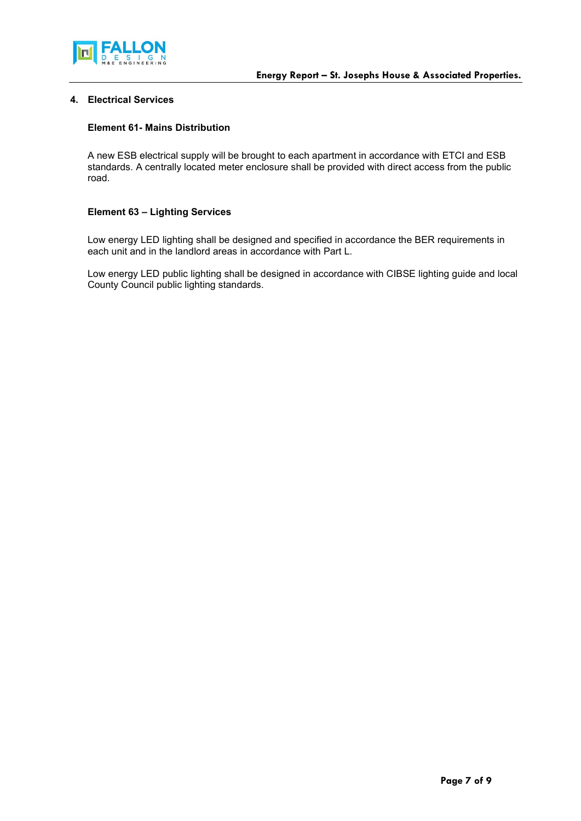

## 4. Electrical Services

#### Element 61- Mains Distribution

A new ESB electrical supply will be brought to each apartment in accordance with ETCI and ESB standards. A centrally located meter enclosure shall be provided with direct access from the public road.

#### Element 63 – Lighting Services

Low energy LED lighting shall be designed and specified in accordance the BER requirements in each unit and in the landlord areas in accordance with Part L.

Low energy LED public lighting shall be designed in accordance with CIBSE lighting guide and local County Council public lighting standards.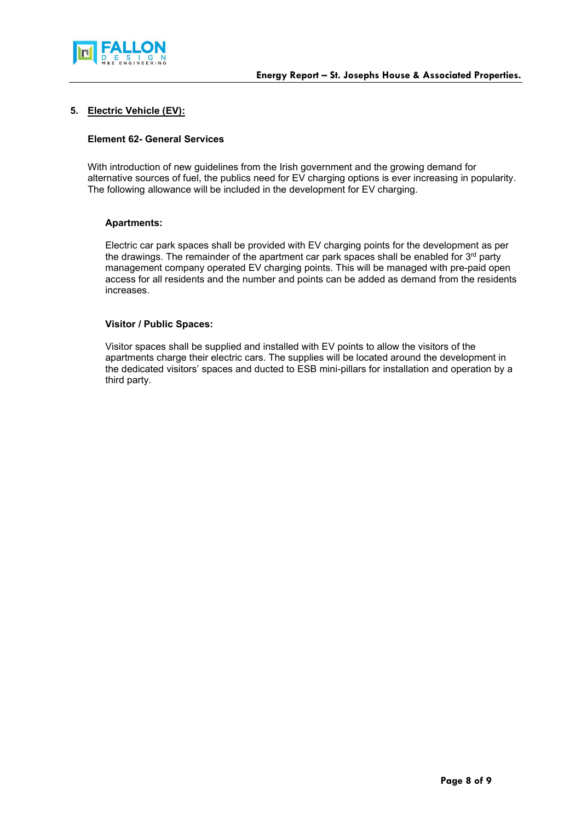

### 5. Electric Vehicle (EV):

#### Element 62- General Services

With introduction of new guidelines from the Irish government and the growing demand for alternative sources of fuel, the publics need for EV charging options is ever increasing in popularity. The following allowance will be included in the development for EV charging.

#### Apartments:

Electric car park spaces shall be provided with EV charging points for the development as per the drawings. The remainder of the apartment car park spaces shall be enabled for  $3<sup>rd</sup>$  party management company operated EV charging points. This will be managed with pre-paid open access for all residents and the number and points can be added as demand from the residents increases.

#### Visitor / Public Spaces:

Visitor spaces shall be supplied and installed with EV points to allow the visitors of the apartments charge their electric cars. The supplies will be located around the development in the dedicated visitors' spaces and ducted to ESB mini-pillars for installation and operation by a third party.